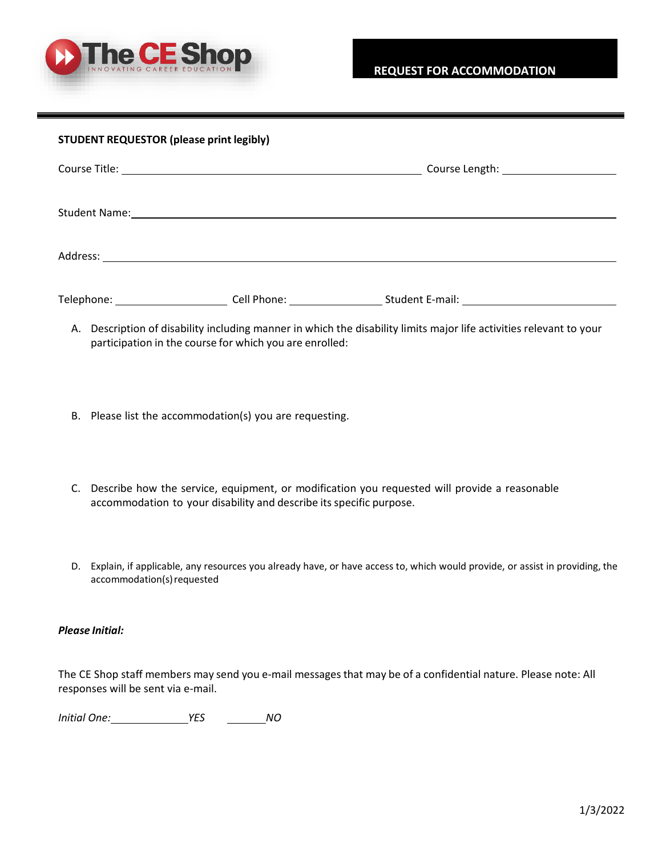

| <b>STUDENT REQUESTOR (please print legibly)</b> |             |                                       |  |
|-------------------------------------------------|-------------|---------------------------------------|--|
|                                                 |             | Course Length: ______________________ |  |
|                                                 |             |                                       |  |
|                                                 |             |                                       |  |
| Telephone:                                      | Cell Phone: | Student E-mail:                       |  |

- A. Description of disability including manner in which the disability limits major life activities relevant to your participation in the course for which you are enrolled:
- B. Please list the accommodation(s) you are requesting.
- C. Describe how the service, equipment, or modification you requested will provide a reasonable accommodation to your disability and describe its specific purpose.
- D. Explain, if applicable, any resources you already have, or have access to, which would provide, or assist in providing, the accommodation(s) requested

# *Please Initial:*

The CE Shop staff members may send you e-mail messages that may be of a confidential nature. Please note: All responses will be sent via e-mail.

*Initial One: YES NO*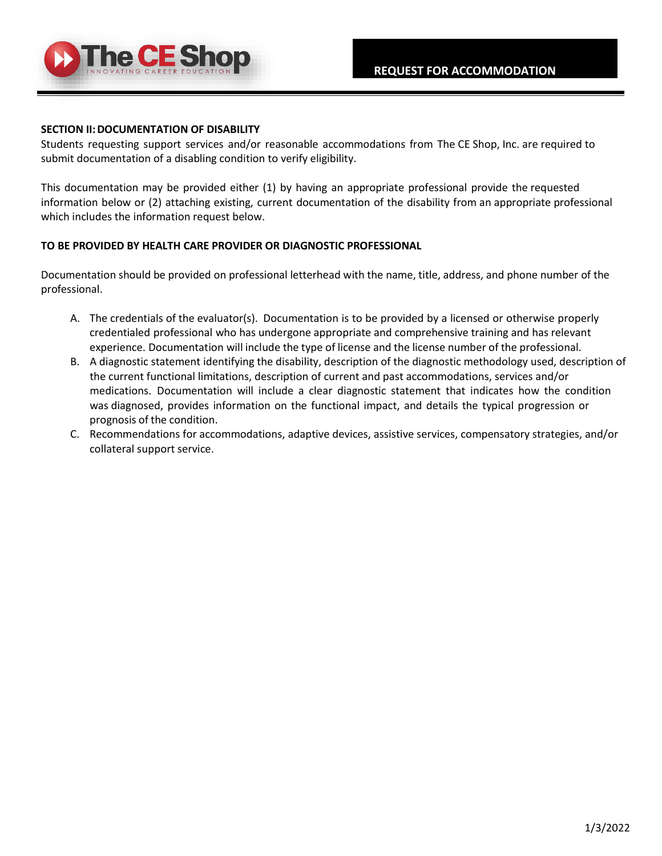

#### **SECTION II:DOCUMENTATION OF DISABILITY**

Students requesting support services and/or reasonable accommodations from The CE Shop, Inc. are required to submit documentation of a disabling condition to verify eligibility.

This documentation may be provided either (1) by having an appropriate professional provide the requested information below or (2) attaching existing, current documentation of the disability from an appropriate professional which includes the information request below.

# **TO BE PROVIDED BY HEALTH CARE PROVIDER OR DIAGNOSTIC PROFESSIONAL**

Documentation should be provided on professional letterhead with the name, title, address, and phone number of the professional.

- A. The credentials of the evaluator(s). Documentation is to be provided by a licensed or otherwise properly credentialed professional who has undergone appropriate and comprehensive training and has relevant experience. Documentation will include the type of license and the license number of the professional.
- B. A diagnostic statement identifying the disability, description of the diagnostic methodology used, description of the current functional limitations, description of current and past accommodations, services and/or medications. Documentation will include a clear diagnostic statement that indicates how the condition was diagnosed, provides information on the functional impact, and details the typical progression or prognosis of the condition.
- C. Recommendations for accommodations, adaptive devices, assistive services, compensatory strategies, and/or collateral support service.